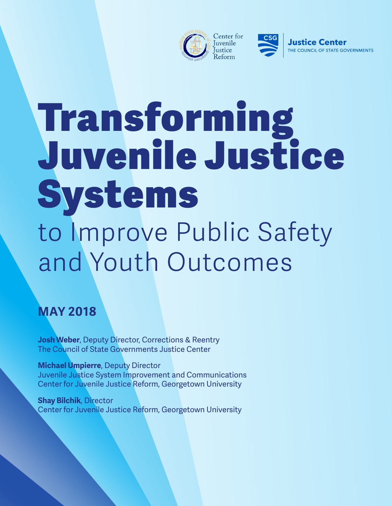



# Transforming Juvenile Justice Systems to Improve Public Safety and Youth Outcomes

### **MAY 2018**

**Josh Weber**, Deputy Director, Corrections & Reentry The Council of State Governments Justice Center

**Michael Umpierre**, Deputy Director Juvenile Justice System Improvement and Communications Center for Juvenile Justice Reform, Georgetown University

**Shay Bilchik**, Director Center for Juvenile Justice Reform, Georgetown University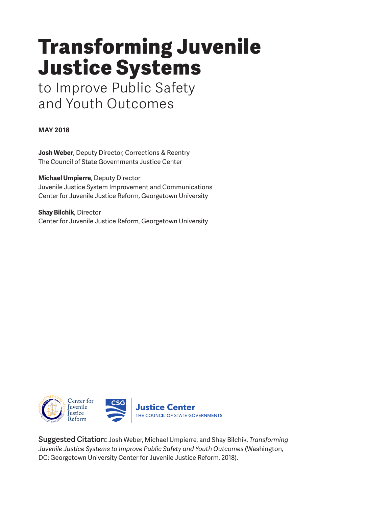## Transforming Juvenile Justice Systems

to Improve Public Safety and Youth Outcomes

**MAY 2018**

**Josh Weber**, Deputy Director, Corrections & Reentry The Council of State Governments Justice Center

**Michael Umpierre**, Deputy Director Juvenile Justice System Improvement and Communications Center for Juvenile Justice Reform, Georgetown University

**Shay Bilchik**, Director Center for Juvenile Justice Reform, Georgetown University



Suggested Citation: Josh Weber, Michael Umpierre, and Shay Bilchik, *Transforming Juvenile Justice Systems to Improve Public Safety and Youth Outcomes* (Washington, DC: Georgetown University Center for Juvenile Justice Reform, 2018).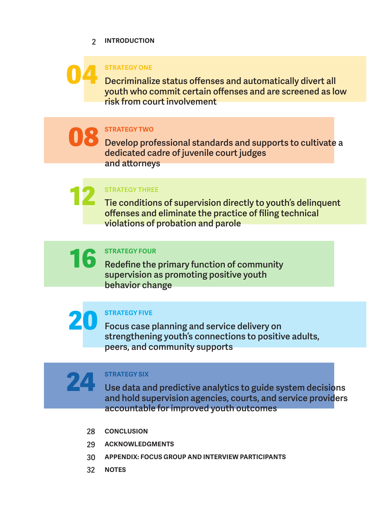#### **INTRODUCTION**  2



#### **STRATEGY ONE**

Decriminalize status offenses and automatically divert all youth who commit certain offenses and are screened as low risk from court involvement

**STRATEGY TWO**  08

Develop professional standards and supports to cultivate a dedicated cadre of juvenile court judges and attorneys

STRATEGY THREE

Tie conditions of supervision directly to youth's delinquent offenses and eliminate the practice of filing technical violations of probation and parole

**STRATEGY FOUR** 16

Redefine the primary function of community supervision as promoting positive youth behavior change



24

12

#### **STRATEGY FIVE**

Focus case planning and service delivery on strengthening youth's connections to positive adults, peers, and community supports

#### **STRATEGY SIX**

Use data and predictive analytics to guide system decisions and hold supervision agencies, courts, and service providers accountable for improved youth outcomes

- 28 **CONCLUSION**
- **ACKNOWLEDGMENTS** 29
- **APPENDIX: FOCUS GROUP AND INTERVIEW PARTICIPANTS** 30
- **NOTES** 32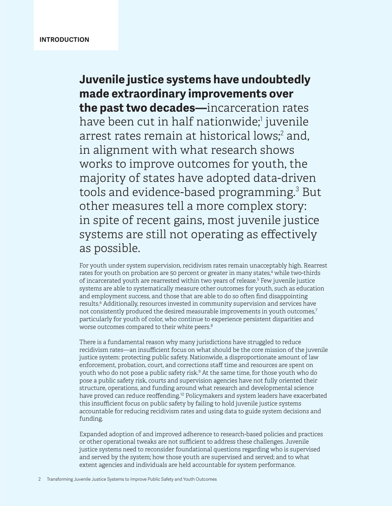**Juvenile justice systems have undoubtedly made extraordinary improvements over the past two decades—**incarceration rates have been cut in half nationwide;<sup>1</sup> juvenile arrest rates remain at historical lows;<sup>2</sup> and, in alignment with what research shows works to improve outcomes for youth, the majority of states have adopted data-driven tools and evidence-based programming.<sup>3</sup> But other measures tell a more complex story: in spite of recent gains, most juvenile justice systems are still not operating as effectively as possible.

For youth under system supervision, recidivism rates remain unacceptably high. Rearrest rates for youth on probation are 50 percent or greater in many states, $4$  while two-thirds of incarcerated youth are rearrested within two years of release.<sup>5</sup> Few juvenile justice systems are able to systematically measure other outcomes for youth, such as education and employment success, and those that are able to do so often find disappointing results.<sup>6</sup> Additionally, resources invested in community supervision and services have not consistently produced the desired measurable improvements in youth outcomes, $7$ particularly for youth of color, who continue to experience persistent disparities and worse outcomes compared to their white peers.<sup>8</sup>

There is a fundamental reason why many jurisdictions have struggled to reduce recidivism rates—an insufficient focus on what should be the core mission of the juvenile justice system: protecting public safety. Nationwide, a disproportionate amount of law enforcement, probation, court, and corrections staff time and resources are spent on youth who do not pose a public safety risk.<sup>9</sup> At the same time, for those youth who do pose a public safety risk, courts and supervision agencies have not fully oriented their structure, operations, and funding around what research and developmental science have proved can reduce reoffending.<sup>10</sup> Policymakers and system leaders have exacerbated this insufficient focus on public safety by failing to hold juvenile justice systems accountable for reducing recidivism rates and using data to guide system decisions and funding.

Expanded adoption of and improved adherence to research-based policies and practices or other operational tweaks are not sufficient to address these challenges. Juvenile justice systems need to reconsider foundational questions regarding who is supervised and served by the system; how those youth are supervised and served; and to what extent agencies and individuals are held accountable for system performance.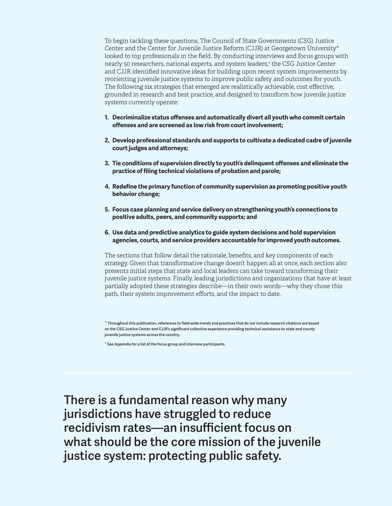To begin tackling these questions, The Council of State Governments (CSG) Justice Center and the Center for Juvenile Justice Reform (CJJR) at Georgetown University\* looked to top professionals in the field. By conducting interviews and focus groups with nearly 50 researchers, national experts, and system leaders,+ the CSG Justice Center and CJJR identified innovative ideas for building upon recent system improvements by reorienting juvenile justice systems to improve public safety and outcomes for youth. The following six strategies that emerged are realistically achievable, cost effective, grounded in research and best practice, and designed to transform how juvenile justice systems currently operate:

- **1. Decriminalize status offenses and automatically divert all youth who commit certain offenses and are screened as low risk from court involvement;**
- **2. Develop professional standards and supports to cultivate a dedicated cadre of juvenile court judges and attorneys;**
- **3. Tie conditions of supervision directly to youth's delinquent offenses and eliminate the practice of filing technical violations of probation and parole;**
- **4. Redefine the primary function of community supervision as promoting positive youth behavior change;**
- **5. Focus case planning and service delivery on strengthening youth's connections to positive adults, peers, and community supports; and**
- **6. Use data and predictive analytics to guide system decisions and hold supervision agencies, courts, and service providers accountable for improved youth outcomes.**

The sections that follow detail the rationale, benefits, and key components of each strategy. Given that transformative change doesn't happen all at once, each section also presents initial steps that state and local leaders can take toward transforming their juvenile justice systems. Finally, leading jurisdictions and organizations that have at least partially adopted these strategies describe—in their own words—why they chose this path, their system improvement efforts, and the impact to date.

\* Throughout this publication, references to field-wide trends and practices that do not include research citations are based on the CSG Justice Center and CJJR's significant collective experience providing technical assistance to state and county juvenile justice systems across the country.

+ See Appendix for a list of the focus group and interview participants.

There is a fundamental reason why many jurisdictions have struggled to reduce recidivism rates—an insufficient focus on what should be the core mission of the juvenile justice system: protecting public safety.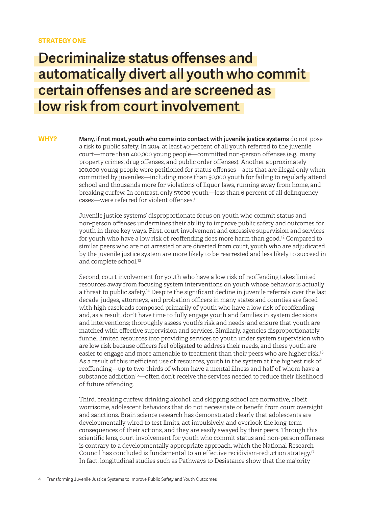#### **STRATEGY ONE**

### Decriminalize status offenses and automatically divert all youth who commit certain offenses and are screened as low risk from court involvement

**M**any, if not most, youth who come into contact with juvenile justice systems do not pose a risk to public safety. In 2014, at least 40 percent of all youth referred to the juvenile court—more than 400,000 young people—committed non-person offenses (e.g., many property crimes, drug offenses, and public order offenses). Another approximately 100,000 young people were petitioned for status offenses—acts that are illegal only when committed by juveniles—including more than 50,000 youth for failing to regularly attend school and thousands more for violations of liquor laws, running away from home, and breaking curfew. In contrast, only 57,000 youth—less than 6 percent of all delinquency cases—were referred for violent offenses.<sup>11</sup> **WHY?**

> Juvenile justice systems' disproportionate focus on youth who commit status and non-person offenses undermines their ability to improve public safety and outcomes for youth in three key ways. First, court involvement and excessive supervision and services for youth who have a low risk of reoffending does more harm than good.<sup>12</sup> Compared to similar peers who are not arrested or are diverted from court, youth who are adjudicated by the juvenile justice system are more likely to be rearrested and less likely to succeed in and complete school.<sup>13</sup>

> Second, court involvement for youth who have a low risk of reoffending takes limited resources away from focusing system interventions on youth whose behavior is actually a threat to public safety.<sup>14</sup> Despite the significant decline in juvenile referrals over the last decade, judges, attorneys, and probation officers in many states and counties are faced with high caseloads composed primarily of youth who have a low risk of reoffending and, as a result, don't have time to fully engage youth and families in system decisions and interventions; thoroughly assess youth's risk and needs; and ensure that youth are matched with effective supervision and services. Similarly, agencies disproportionately funnel limited resources into providing services to youth under system supervision who are low risk because officers feel obligated to address their needs, and these youth are easier to engage and more amenable to treatment than their peers who are higher risk.<sup>15</sup> As a result of this inefficient use of resources, youth in the system at the highest risk of reoffending—up to two-thirds of whom have a mental illness and half of whom have a substance addiction<sup>16</sup>—often don't receive the services needed to reduce their likelihood of future offending.

Third, breaking curfew, drinking alcohol, and skipping school are normative, albeit worrisome, adolescent behaviors that do not necessitate or benefit from court oversight and sanctions. Brain science research has demonstrated clearly that adolescents are developmentally wired to test limits, act impulsively, and overlook the long-term consequences of their actions, and they are easily swayed by their peers. Through this scientific lens, court involvement for youth who commit status and non-person offenses is contrary to a developmentally appropriate approach, which the National Research Council has concluded is fundamental to an effective recidivism-reduction strategy.<sup>17</sup> In fact, longitudinal studies such as Pathways to Desistance show that the majority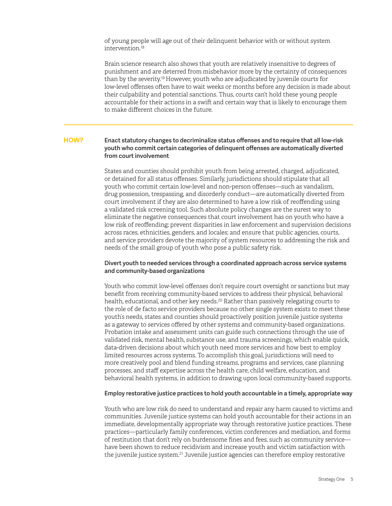of young people will age out of their delinquent behavior with or without system intervention.<sup>18</sup>

Brain science research also shows that youth are relatively insensitive to degrees of punishment and are deterred from misbehavior more by the certainty of consequences than by the severity.<sup>19</sup> However, youth who are adjudicated by juvenile courts for low-level offenses often have to wait weeks or months before any decision is made about their culpability and potential sanctions. Thus, courts can't hold these young people accountable for their actions in a swift and certain way that is likely to encourage them to make different choices in the future.

#### Enact statutory changes to decriminalize status offenses and to require that all low-risk youth who commit certain categories of delinquent offenses are automatically diverted from court involvement **HOW?**

States and counties should prohibit youth from being arrested, charged, adjudicated, or detained for all status offenses. Similarly, jurisdictions should stipulate that all youth who commit certain low-level and non-person offenses—such as vandalism, drug possession, trespassing, and disorderly conduct—are automatically diverted from court involvement if they are also determined to have a low risk of reoffending using a validated risk screening tool. Such absolute policy changes are the surest way to eliminate the negative consequences that court involvement has on youth who have a low risk of reoffending; prevent disparities in law enforcement and supervision decisions across races, ethnicities, genders, and locales; and ensure that public agencies, courts, and service providers devote the majority of system resources to addressing the risk and needs of the small group of youth who pose a public safety risk.

#### Divert youth to needed services through a coordinated approach across service systems and community-based organizations

Youth who commit low-level offenses don't require court oversight or sanctions but may benefit from receiving community-based services to address their physical, behavioral health, educational, and other key needs.<sup>20</sup> Rather than passively relegating courts to the role of de facto service providers because no other single system exists to meet these youth's needs, states and counties should proactively position juvenile justice systems as a gateway to services offered by other systems and community-based organizations. Probation intake and assessment units can guide such connections through the use of validated risk, mental health, substance use, and trauma screenings, which enable quick, data-driven decisions about which youth need more services and how best to employ limited resources across systems. To accomplish this goal, jurisdictions will need to more creatively pool and blend funding streams, programs and services, case planning processes, and staff expertise across the health care, child welfare, education, and behavioral health systems, in addition to drawing upon local community-based supports.

#### Employ restorative justice practices to hold youth accountable in a timely, appropriate way

Youth who are low risk do need to understand and repair any harm caused to victims and communities. Juvenile justice systems can hold youth accountable for their actions in an immediate, developmentally appropriate way through restorative justice practices. These practices—particularly family conferences, victim conferences and mediation, and forms of restitution that don't rely on burdensome fines and fees, such as community service have been shown to reduce recidivism and increase youth and victim satisfaction with the juvenile justice system.<sup>21</sup> Juvenile justice agencies can therefore employ restorative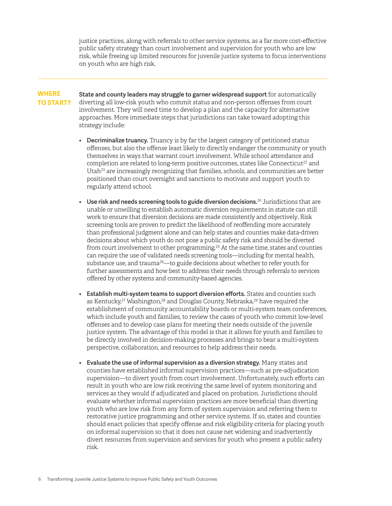justice practices, along with referrals to other service systems, as a far more cost-effective public safety strategy than court involvement and supervision for youth who are low risk, while freeing up limited resources for juvenile justice systems to focus interventions on youth who are high risk.

#### **WHERE TO START?**

State and county leaders may struggle to garner widespread support for automatically diverting all low-risk youth who commit status and non-person offenses from court involvement. They will need time to develop a plan and the capacity for alternative approaches. More immediate steps that jurisdictions can take toward adopting this strategy include:

- Decriminalize truancy. Truancy is by far the largest category of petitioned status offenses, but also the offense least likely to directly endanger the community or youth themselves in ways that warrant court involvement. While school attendance and completion are related to long-term positive outcomes, states like Connecticut<sup>22</sup> and Utah $23$  are increasingly recognizing that families, schools, and communities are better positioned than court oversight and sanctions to motivate and support youth to regularly attend school.
- Use risk and needs screening tools to guide diversion decisions.<sup>24</sup> Jurisdictions that are unable or unwilling to establish automatic diversion requirements in statute can still work to ensure that diversion decisions are made consistently and objectively*.* Risk screening tools are proven to predict the likelihood of reoffending more accurately than professional judgment alone and can help states and counties make data-driven decisions about which youth do not pose a public safety risk and should be diverted from court involvement to other programming.<sup>25</sup> At the same time, states and counties can require the use of validated needs screening tools—including for mental health, substance use, and trauma<sup>26</sup>—to guide decisions about whether to refer youth for further assessments and how best to address their needs through referrals to services offered by other systems and community-based agencies.
- Establish multi-system teams to support diversion efforts. States and counties such as Kentucky,<sup>27</sup> Washington,<sup>28</sup> and Douglas County, Nebraska,<sup>29</sup> have required the establishment of community accountability boards or multi-system team conferences, which include youth and families, to review the cases of youth who commit low-level offenses and to develop case plans for meeting their needs outside of the juvenile justice system. The advantage of this model is that it allows for youth and families to be directly involved in decision-making processes and brings to bear a multi-system perspective, collaboration, and resources to help address their needs.
- Evaluate the use of informal supervision as a diversion strategy. Many states and counties have established informal supervision practices—such as pre-adjudication supervision—to divert youth from court involvement. Unfortunately, such efforts can result in youth who are low risk receiving the same level of system monitoring and services as they would if adjudicated and placed on probation. Jurisdictions should evaluate whether informal supervision practices are more beneficial than diverting youth who are low risk from any form of system supervision and referring them to restorative justice programming and other service systems. If so, states and counties should enact policies that specify offense and risk eligibility criteria for placing youth on informal supervision so that it does not cause net widening and inadvertently divert resources from supervision and services for youth who present a public safety risk.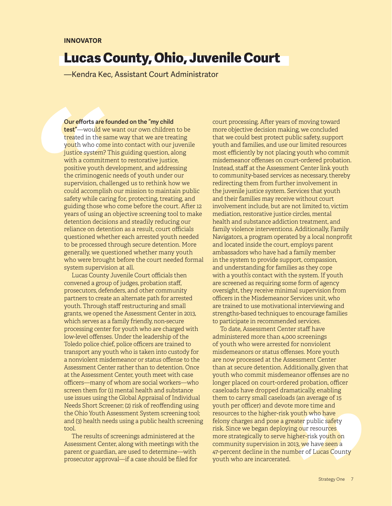### Lucas County, Ohio, Juvenile Court

—Kendra Kec, Assistant Court Administrator

Our efforts are founded on the "my child test"-would we want our own children to be treated in the same way that we are treating youth who come into contact with our juvenile justice system? This guiding question, along with a commitment to restorative justice. positive youth development, and addressing the criminogenic needs of youth under our supervision, challenged us to rethink how we could accomplish our mission to maintain public safety while caring for, protecting, treating, and guiding those who come before the court. After 12 years of using an objective screening tool to make detention decisions and steadily reducing our reliance on detention as a result, court officials questioned whether each arrested youth needed to be processed through secure detention. More generally, we questioned whether many youth who were brought before the court needed formal system supervision at all.

Lucas County Juvenile Court officials then convened a group of judges, probation staff, prosecutors, defenders, and other community partners to create an alternate path for arrested youth. Through staff restructuring and small grants, we opened the Assessment Center in 2013, which serves as a family friendly, non-secure processing center for youth who are charged with low-level offenses. Under the leadership of the Toledo police chief, police officers are trained to transport any youth who is taken into custody for a nonviolent misdemeanor or status offense to the Assessment Center rather than to detention. Once at the Assessment Center, youth meet with case officers—many of whom are social workers—who screen them for (1) mental health and substance use issues using the Global Appraisal of Individual Needs Short Screener; (2) risk of reoffending using the Ohio Youth Assessment System screening tool; and (3) health needs using a public health screening tool.

The results of screenings administered at the Assessment Center, along with meetings with the parent or guardian, are used to determine—with prosecutor approval—if a case should be filed for

court processing. After years of moving toward more objective decision making, we concluded that we could best protect public safety, support youth and families, and use our limited resources most efficiently by not placing youth who commit misdemeanor offenses on court-ordered probation. Instead, staff at the Assessment Center link youth to community-based services as necessary, thereby redirecting them from further involvement in the juvenile justice system. Services that youth and their families may receive without court involvement include, but are not limited to, victim mediation, restorative justice circles, mental health and substance addiction treatment, and family violence interventions. Additionally, Family Navigators, a program operated by a local nonprofit and located inside the court, employs parent ambassadors who have had a family member in the system to provide support, compassion, and understanding for families as they cope with a youth's contact with the system. If youth are screened as requiring some form of agency oversight, they receive minimal supervision from officers in the Misdemeanor Services unit, who are trained to use motivational interviewing and strengths-based techniques to encourage families to participate in recommended services.

To date, Assessment Center staff have administered more than 4,000 screenings of youth who were arrested for nonviolent misdemeanors or status offenses. More youth are now processed at the Assessment Center than at secure detention. Additionally, given that youth who commit misdemeanor offenses are no longer placed on court-ordered probation, officer caseloads have dropped dramatically, enabling them to carry small caseloads (an average of 15 youth per officer) and devote more time and resources to the higher-risk youth who have felony charges and pose a greater public safety risk. Since we began deploying our resources more strategically to serve higher-risk youth on community supervision in 2013, we have seen a 47-percent decline in the number of Lucas County youth who are incarcerated.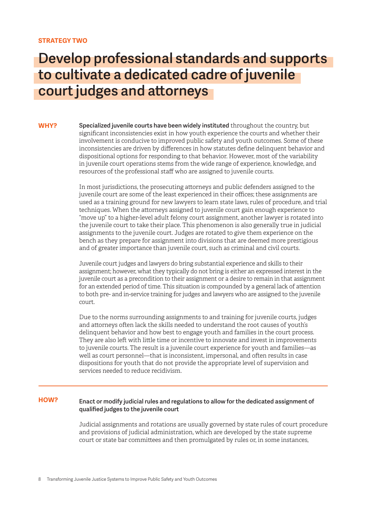#### **STRATEGY TWO**

### Develop professional standards and supports to cultivate a dedicated cadre of juvenile court judges and attorneys

Specialized juvenile courts have been widely instituted throughout the country, but significant inconsistencies exist in how youth experience the courts and whether their involvement is conducive to improved public safety and youth outcomes. Some of these inconsistencies are driven by differences in how statutes define delinquent behavior and dispositional options for responding to that behavior. However, most of the variability in juvenile court operations stems from the wide range of experience, knowledge, and resources of the professional staff who are assigned to juvenile courts. **WHY?**

> In most jurisdictions, the prosecuting attorneys and public defenders assigned to the juvenile court are some of the least experienced in their offices; these assignments are used as a training ground for new lawyers to learn state laws, rules of procedure, and trial techniques. When the attorneys assigned to juvenile court gain enough experience to "move up" to a higher-level adult felony court assignment, another lawyer is rotated into the juvenile court to take their place. This phenomenon is also generally true in judicial assignments to the juvenile court. Judges are rotated to give them experience on the bench as they prepare for assignment into divisions that are deemed more prestigious and of greater importance than juvenile court, such as criminal and civil courts.

> Juvenile court judges and lawyers do bring substantial experience and skills to their assignment; however, what they typically do not bring is either an expressed interest in the juvenile court as a precondition to their assignment or a desire to remain in that assignment for an extended period of time. This situation is compounded by a general lack of attention to both pre- and in-service training for judges and lawyers who are assigned to the juvenile court.

Due to the norms surrounding assignments to and training for juvenile courts, judges and attorneys often lack the skills needed to understand the root causes of youth's delinquent behavior and how best to engage youth and families in the court process. They are also left with little time or incentive to innovate and invest in improvements to juvenile courts. The result is a juvenile court experience for youth and families—as well as court personnel—that is inconsistent, impersonal, and often results in case dispositions for youth that do not provide the appropriate level of supervision and services needed to reduce recidivism.

#### Enact or modify judicial rules and regulations to allow for the dedicated assignment of qualified judges to the juvenile court **HOW?**

Judicial assignments and rotations are usually governed by state rules of court procedure and provisions of judicial administration, which are developed by the state supreme court or state bar committees and then promulgated by rules or, in some instances,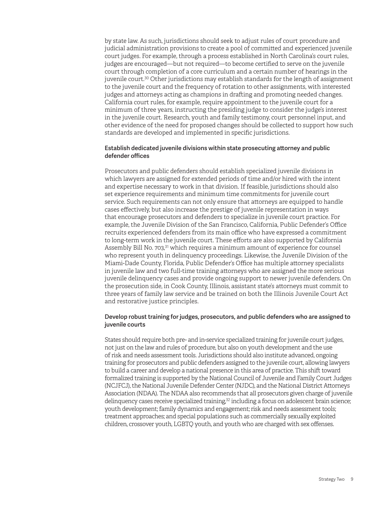by state law. As such, jurisdictions should seek to adjust rules of court procedure and judicial administration provisions to create a pool of committed and experienced juvenile court judges. For example, through a process established in North Carolina's court rules, judges are encouraged—but not required—to become certified to serve on the juvenile court through completion of a core curriculum and a certain number of hearings in the juvenile court.<sup>30</sup> Other jurisdictions may establish standards for the length of assignment to the juvenile court and the frequency of rotation to other assignments, with interested judges and attorneys acting as champions in drafting and promoting needed changes. California court rules, for example, require appointment to the juvenile court for a minimum of three years, instructing the presiding judge to consider the judge's interest in the juvenile court. Research, youth and family testimony, court personnel input, and other evidence of the need for proposed changes should be collected to support how such standards are developed and implemented in specific jurisdictions.

#### Establish dedicated juvenile divisions within state prosecuting attorney and public defender offices

Prosecutors and public defenders should establish specialized juvenile divisions in which lawyers are assigned for extended periods of time and/or hired with the intent and expertise necessary to work in that division. If feasible, jurisdictions should also set experience requirements and minimum time commitments for juvenile court service. Such requirements can not only ensure that attorneys are equipped to handle cases effectively, but also increase the prestige of juvenile representation in ways that encourage prosecutors and defenders to specialize in juvenile court practice. For example, the Juvenile Division of the San Francisco, California, Public Defender's Office recruits experienced defenders from its main office who have expressed a commitment to long-term work in the juvenile court. These efforts are also supported by California Assembly Bill No. 703,<sup>31</sup> which requires a minimum amount of experience for counsel who represent youth in delinquency proceedings. Likewise, the Juvenile Division of the Miami-Dade County, Florida, Public Defender's Office has multiple attorney specialists in juvenile law and two full-time training attorneys who are assigned the more serious juvenile delinquency cases and provide ongoing support to newer juvenile defenders. On the prosecution side, in Cook County, Illinois, assistant state's attorneys must commit to three years of family law service and be trained on both the Illinois Juvenile Court Act and restorative justice principles.

#### Develop robust training for judges, prosecutors, and public defenders who are assigned to juvenile courts

States should require both pre- and in-service specialized training for juvenile court judges, not just on the law and rules of procedure, but also on youth development and the use of risk and needs assessment tools. Jurisdictions should also institute advanced, ongoing training for prosecutors and public defenders assigned to the juvenile court, allowing lawyers to build a career and develop a national presence in this area of practice. This shift toward formalized training is supported by the National Council of Juvenile and Family Court Judges (NCJFCJ), the National Juvenile Defender Center (NJDC), and the National District Attorneys Association (NDAA). The NDAA also recommends that all prosecutors given charge of juvenile delinquency cases receive specialized training, $32$  including a focus on adolescent brain science; youth development; family dynamics and engagement; risk and needs assessment tools; treatment approaches; and special populations such as commercially sexually exploited children, crossover youth, LGBTQ youth, and youth who are charged with sex offenses.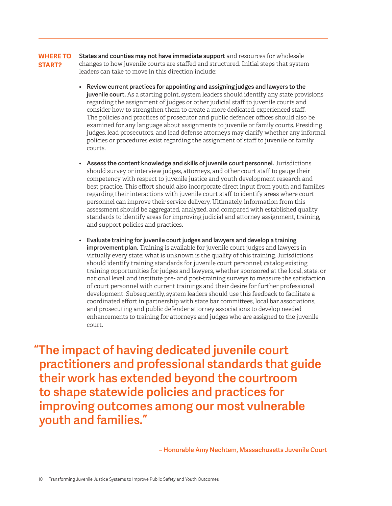States and counties may not have immediate support and resources for wholesale changes to how juvenile courts are staffed and structured. Initial steps that system leaders can take to move in this direction include: **WHERE TO START?**

- Review current practices for appointing and assigning judges and lawyers to the juvenile court. As a starting point, system leaders should identify any state provisions regarding the assignment of judges or other judicial staff to juvenile courts and consider how to strengthen them to create a more dedicated, experienced staff. The policies and practices of prosecutor and public defender offices should also be examined for any language about assignments to juvenile or family courts. Presiding judges, lead prosecutors, and lead defense attorneys may clarify whether any informal policies or procedures exist regarding the assignment of staff to juvenile or family courts.
- Assess the content knowledge and skills of juvenile court personnel. Jurisdictions should survey or interview judges, attorneys, and other court staff to gauge their competency with respect to juvenile justice and youth development research and best practice. This effort should also incorporate direct input from youth and families regarding their interactions with juvenile court staff to identify areas where court personnel can improve their service delivery. Ultimately, information from this assessment should be aggregated, analyzed, and compared with established quality standards to identify areas for improving judicial and attorney assignment, training, and support policies and practices.
- Evaluate training for juvenile court judges and lawyers and develop a training improvement plan. Training is available for juvenile court judges and lawyers in virtually every state; what is unknown is the quality of this training. Jurisdictions should identify training standards for juvenile court personnel; catalog existing training opportunities for judges and lawyers, whether sponsored at the local, state, or national level; and institute pre- and post-training surveys to measure the satisfaction of court personnel with current trainings and their desire for further professional development. Subsequently, system leaders should use this feedback to facilitate a coordinated effort in partnership with state bar committees, local bar associations, and prosecuting and public defender attorney associations to develop needed enhancements to training for attorneys and judges who are assigned to the juvenile court.

"The impact of having dedicated juvenile court practitioners and professional standards that guide their work has extended beyond the courtroom to shape statewide policies and practices for improving outcomes among our most vulnerable youth and families."

– Honorable Amy Nechtem, Massachusetts Juvenile Court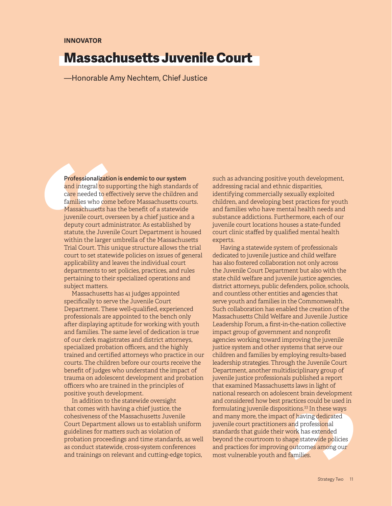### Massachusetts Juvenile Court

—Honorable Amy Nechtem, Chief Justice

Professionalization is endemic to our system and integral to supporting the high standards of care needed to effectively serve the children and families who come before Massachusetts courts. Massachusetts has the benefit of a statewide juvenile court, overseen by a chief justice and a deputy court administrator. As established by statute, the Juvenile Court Department is housed within the larger umbrella of the Massachusetts Trial Court. This unique structure allows the trial court to set statewide policies on issues of general applicability and leaves the individual court departments to set policies, practices, and rules pertaining to their specialized operations and subject matters.

Massachusetts has 41 judges appointed specifically to serve the Juvenile Court Department. These well-qualified, experienced professionals are appointed to the bench only after displaying aptitude for working with youth and families. The same level of dedication is true of our clerk magistrates and district attorneys, specialized probation officers, and the highly trained and certified attorneys who practice in our courts. The children before our courts receive the benefit of judges who understand the impact of trauma on adolescent development and probation officers who are trained in the principles of positive youth development.

In addition to the statewide oversight that comes with having a chief justice, the cohesiveness of the Massachusetts Juvenile Court Department allows us to establish uniform guidelines for matters such as violation of probation proceedings and time standards, as well as conduct statewide, cross-system conferences and trainings on relevant and cutting-edge topics,

such as advancing positive youth development, addressing racial and ethnic disparities, identifying commercially sexually exploited children, and developing best practices for youth and families who have mental health needs and substance addictions. Furthermore, each of our juvenile court locations houses a state-funded court clinic staffed by qualified mental health experts.

Having a statewide system of professionals dedicated to juvenile justice and child welfare has also fostered collaboration not only across the Juvenile Court Department but also with the state child welfare and juvenile justice agencies, district attorneys, public defenders, police, schools, and countless other entities and agencies that serve youth and families in the Commonwealth. Such collaboration has enabled the creation of the Massachusetts Child Welfare and Juvenile Justice Leadership Forum, a first-in-the-nation collective impact group of government and nonprofit agencies working toward improving the juvenile justice system and other systems that serve our children and families by employing results-based leadership strategies. Through the Juvenile Court Department, another multidisciplinary group of juvenile justice professionals published a report that examined Massachusetts laws in light of national research on adolescent brain development and considered how best practices could be used in formulating juvenile dispositions.<sup>33</sup> In these ways and many more, the impact of having dedicated juvenile court practitioners and professional standards that guide their work has extended beyond the courtroom to shape statewide policies and practices for improving outcomes among our most vulnerable youth and families.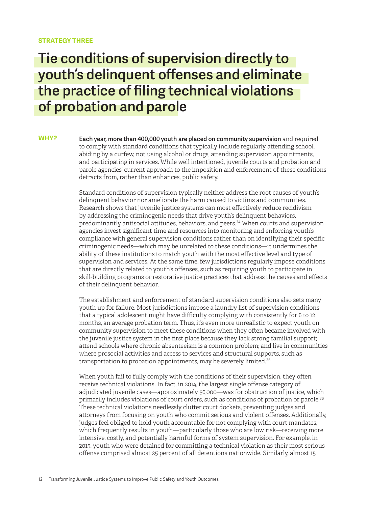#### **STRATEGY THREE**

### Tie conditions of supervision directly to youth's delinquent offenses and eliminate the practice of filing technical violations of probation and parole

Each year, more than 400,000 youth are placed on community supervision and required to comply with standard conditions that typically include regularly attending school, abiding by a curfew, not using alcohol or drugs, attending supervision appointments, and participating in services. While well intentioned, juvenile courts and probation and parole agencies' current approach to the imposition and enforcement of these conditions detracts from, rather than enhances, public safety. **WHY?**

> Standard conditions of supervision typically neither address the root causes of youth's delinquent behavior nor ameliorate the harm caused to victims and communities. Research shows that juvenile justice systems can most effectively reduce recidivism by addressing the criminogenic needs that drive youth's delinquent behaviors, predominantly antisocial attitudes, behaviors, and peers.<sup>34</sup> When courts and supervision agencies invest significant time and resources into monitoring and enforcing youth's compliance with general supervision conditions rather than on identifying their specific criminogenic needs—which may be unrelated to these conditions—it undermines the ability of these institutions to match youth with the most effective level and type of supervision and services. At the same time, few jurisdictions regularly impose conditions that are directly related to youth's offenses, such as requiring youth to participate in skill-building programs or restorative justice practices that address the causes and effects of their delinquent behavior.

> The establishment and enforcement of standard supervision conditions also sets many youth up for failure. Most jurisdictions impose a laundry list of supervision conditions that a typical adolescent might have difficulty complying with consistently for 6 to 12 months, an average probation term. Thus, it's even more unrealistic to expect youth on community supervision to meet these conditions when they often became involved with the juvenile justice system in the first place because they lack strong familial support; attend schools where chronic absenteeism is a common problem; and live in communities where prosocial activities and access to services and structural supports, such as transportation to probation appointments, may be severely limited.<sup>35</sup>

> When youth fail to fully comply with the conditions of their supervision, they often receive technical violations. In fact, in 2014, the largest single offense category of adjudicated juvenile cases—approximately 56,000—was for obstruction of justice, which primarily includes violations of court orders, such as conditions of probation or parole.<sup>36</sup> These technical violations needlessly clutter court dockets, preventing judges and attorneys from focusing on youth who commit serious and violent offenses. Additionally, judges feel obliged to hold youth accountable for not complying with court mandates, which frequently results in youth—particularly those who are low risk—receiving more intensive, costly, and potentially harmful forms of system supervision. For example, in 2015, youth who were detained for committing a technical violation as their most serious offense comprised almost 25 percent of all detentions nationwide. Similarly, almost 15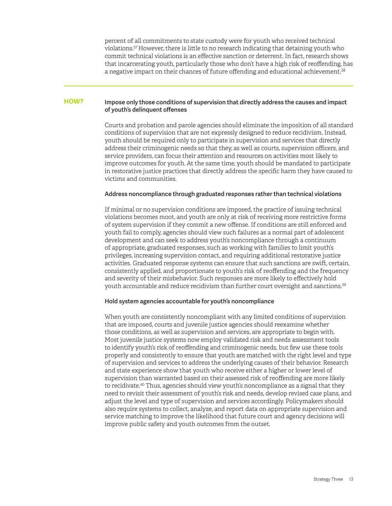percent of all commitments to state custody were for youth who received technical violations.<sup>37</sup>However, there is little to no research indicating that detaining youth who commit technical violations is an effective sanction or deterrent. In fact, research shows that incarcerating youth, particularly those who don't have a high risk of reoffending, has a negative impact on their chances of future offending and educational achievement.<sup>38</sup>

#### Impose only those conditions of supervision that directly address the causes and impact of youth's delinquent offenses **HOW?**

Courts and probation and parole agencies should eliminate the imposition of all standard conditions of supervision that are not expressly designed to reduce recidivism. Instead, youth should be required only to participate in supervision and services that directly address their criminogenic needs so that they, as well as courts, supervision officers, and service providers, can focus their attention and resources on activities most likely to improve outcomes for youth. At the same time, youth should be mandated to participate in restorative justice practices that directly address the specific harm they have caused to victims and communities.

#### Address noncompliance through graduated responses rather than technical violations

If minimal or no supervision conditions are imposed, the practice of issuing technical violations becomes moot, and youth are only at risk of receiving more restrictive forms of system supervision if they commit a new offense. If conditions are still enforced and youth fail to comply, agencies should view such failures as a normal part of adolescent development and can seek to address youth's noncompliance through a continuum of appropriate, graduated responses, such as working with families to limit youth's privileges, increasing supervision contact, and requiring additional restorative justice activities. Graduated response systems can ensure that such sanctions are swift, certain, consistently applied, and proportionate to youth's risk of reoffending and the frequency and severity of their misbehavior. Such responses are more likely to effectively hold youth accountable and reduce recidivism than further court oversight and sanctions.<sup>39</sup>

#### Hold system agencies accountable for youth's noncompliance

When youth are consistently noncompliant with any limited conditions of supervision that are imposed, courts and juvenile justice agencies should reexamine whether those conditions, as well as supervision and services, are appropriate to begin with. Most juvenile justice systems now employ validated risk and needs assessment tools to identify youth's risk of reoffending and criminogenic needs, but few use these tools properly and consistently to ensure that youth are matched with the right level and type of supervision and services to address the underlying causes of their behavior. Research and state experience show that youth who receive either a higher or lower level of supervision than warranted based on their assessed risk of reoffending are more likely to recidivate.<sup>40</sup> Thus, agencies should view youth's noncompliance as a signal that they need to revisit their assessment of youth's risk and needs, develop revised case plans, and adjust the level and type of supervision and services accordingly. Policymakers should also require systems to collect, analyze, and report data on appropriate supervision and service matching to improve the likelihood that future court and agency decisions will improve public safety and youth outcomes from the outset.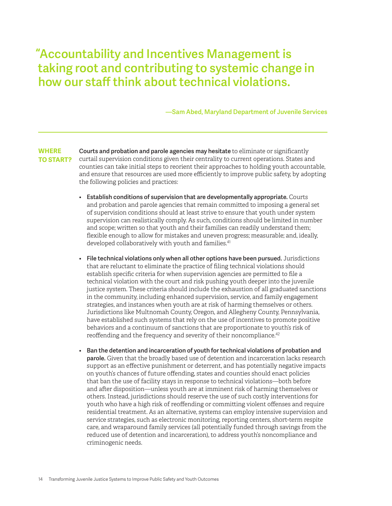"Accountability and Incentives Management is taking root and contributing to systemic change in how our staff think about technical violations.

—Sam Abed, Maryland Department of Juvenile Services

Courts and probation and parole agencies may hesitate to eliminate or significantly curtail supervision conditions given their centrality to current operations. States and counties can take initial steps to reorient their approaches to holding youth accountable, and ensure that resources are used more efficiently to improve public safety, by adopting the following policies and practices: **WHERE TO START?**

- Establish conditions of supervision that are developmentally appropriate. Courts and probation and parole agencies that remain committed to imposing a general set of supervision conditions should at least strive to ensure that youth under system supervision can realistically comply. As such, conditions should be limited in number and scope; written so that youth and their families can readily understand them; flexible enough to allow for mistakes and uneven progress; measurable; and, ideally, developed collaboratively with youth and families.<sup>41</sup>
- File technical violations only when all other options have been pursued. Jurisdictions that are reluctant to eliminate the practice of filing technical violations should establish specific criteria for when supervision agencies are permitted to file a technical violation with the court and risk pushing youth deeper into the juvenile justice system. These criteria should include the exhaustion of all graduated sanctions in the community, including enhanced supervision, service, and family engagement strategies, and instances when youth are at risk of harming themselves or others. Jurisdictions like Multnomah County, Oregon, and Allegheny County, Pennsylvania, have established such systems that rely on the use of incentives to promote positive behaviors and a continuum of sanctions that are proportionate to youth's risk of reoffending and the frequency and severity of their noncompliance.<sup>42</sup>
- Ban the detention and incarceration of youth for technical violations of probation and parole. Given that the broadly based use of detention and incarceration lacks research support as an effective punishment or deterrent, and has potentially negative impacts on youth's chances of future offending, states and counties should enact policies that ban the use of facility stays in response to technical violations—both before and after disposition—unless youth are at imminent risk of harming themselves or others. Instead, jurisdictions should reserve the use of such costly interventions for youth who have a high risk of reoffending or committing violent offenses and require residential treatment. As an alternative, systems can employ intensive supervision and service strategies, such as electronic monitoring, reporting centers, short-term respite care, and wraparound family services (all potentially funded through savings from the reduced use of detention and incarceration), to address youth's noncompliance and criminogenic needs.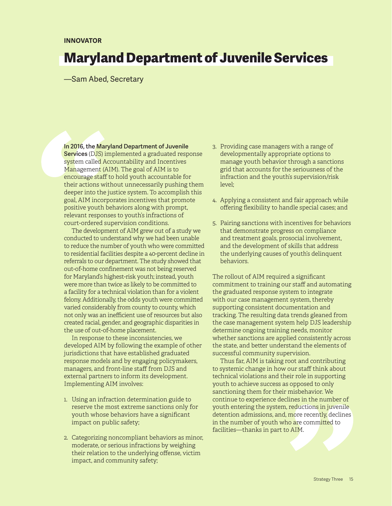### Maryland Department of Juvenile Services

—Sam Abed, Secretary

In 2016, the Maryland Department of Juvenile Services (DJS) implemented a graduated response system called Accountability and Incentives Management (AIM). The goal of AIM is to encourage staff to hold youth accountable for their actions without unnecessarily pushing them deeper into the justice system. To accomplish this goal, AIM incorporates incentives that promote positive youth behaviors along with prompt, relevant responses to youth's infractions of court-ordered supervision conditions.

The development of AIM grew out of a study we conducted to understand why we had been unable to reduce the number of youth who were committed to residential facilities despite a 40-percent decline in referrals to our department. The study showed that out-of-home confinement was not being reserved for Maryland's highest-risk youth; instead, youth were more than twice as likely to be committed to a facility for a technical violation than for a violent felony. Additionally, the odds youth were committed varied considerably from county to county, which not only was an inefficient use of resources but also created racial, gender, and geographic disparities in the use of out-of-home placement.

In response to these inconsistencies, we developed AIM by following the example of other jurisdictions that have established graduated response models and by engaging policymakers, managers, and front-line staff from DJS and external partners to inform its development. Implementing AIM involves:

- 1. Using an infraction determination guide to reserve the most extreme sanctions only for youth whose behaviors have a significant impact on public safety;
- 2. Categorizing noncompliant behaviors as minor, moderate, or serious infractions by weighing their relation to the underlying offense, victim impact, and community safety;
- 3. Providing case managers with a range of developmentally appropriate options to manage youth behavior through a sanctions grid that accounts for the seriousness of the infraction and the youth's supervision/risk level;
- 4. Applying a consistent and fair approach while offering flexibility to handle special cases; and
- 5. Pairing sanctions with incentives for behaviors that demonstrate progress on compliance and treatment goals, prosocial involvement, and the development of skills that address the underlying causes of youth's delinquent behaviors.

The rollout of AIM required a significant commitment to training our staff and automating the graduated response system to integrate with our case management system, thereby supporting consistent documentation and tracking. The resulting data trends gleaned from the case management system help DJS leadership determine ongoing training needs, monitor whether sanctions are applied consistently across the state, and better understand the elements of successful community supervision.

Thus far, AIM is taking root and contributing to systemic change in how our staff think about technical violations and their role in supporting youth to achieve success as opposed to only sanctioning them for their misbehavior. We continue to experience declines in the number of youth entering the system, reductions in juvenile detention admissions, and, more recently, declines in the number of youth who are committed to facilities—thanks in part to AIM.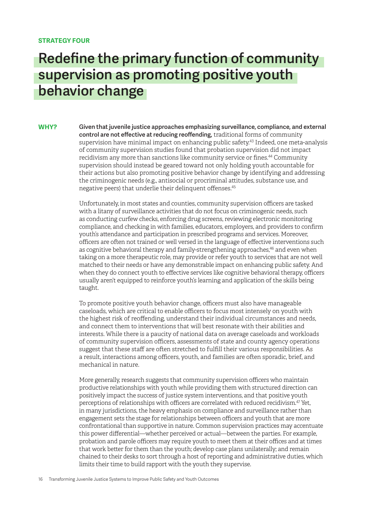#### **STRATEGY FOUR**

### Redefine the primary function of community supervision as promoting positive youth behavior change

Given that juvenile justice approaches emphasizing surveillance, compliance, and external control are not effective at reducing reoffending, traditional forms of community supervision have minimal impact on enhancing public safety.<sup>43</sup> Indeed, one meta-analysis of community supervision studies found that probation supervision did not impact recidivism any more than sanctions like community service or fines.<sup>44</sup> Community supervision should instead be geared toward not only holding youth accountable for their actions but also promoting positive behavior change by identifying and addressing the criminogenic needs (e.g., antisocial or procriminal attitudes, substance use, and negative peers) that underlie their delinquent offenses.<sup>45</sup> **WHY?** 

> Unfortunately, in most states and counties, community supervision officers are tasked with a litany of surveillance activities that do not focus on criminogenic needs, such as conducting curfew checks, enforcing drug screens, reviewing electronic monitoring compliance, and checking in with families, educators, employers, and providers to confirm youth's attendance and participation in prescribed programs and services. Moreover, officers are often not trained or well versed in the language of effective interventions such as cognitive behavioral therapy and family-strengthening approaches,<sup>46</sup> and even when taking on a more therapeutic role, may provide or refer youth to services that are not well matched to their needs or have any demonstrable impact on enhancing public safety. And when they do connect youth to effective services like cognitive behavioral therapy, officers usually aren't equipped to reinforce youth's learning and application of the skills being taught.

To promote positive youth behavior change, officers must also have manageable caseloads, which are critical to enable officers to focus most intensely on youth with the highest risk of reoffending, understand their individual circumstances and needs, and connect them to interventions that will best resonate with their abilities and interests. While there is a paucity of national data on average caseloads and workloads of community supervision officers, assessments of state and county agency operations suggest that these staff are often stretched to fulfill their various responsibilities. As a result, interactions among officers, youth, and families are often sporadic, brief, and mechanical in nature.

More generally, research suggests that community supervision officers who maintain productive relationships with youth while providing them with structured direction can positively impact the success of justice system interventions, and that positive youth perceptions of relationships with officers are correlated with reduced recidivism.<sup>47</sup> Yet, in many jurisdictions, the heavy emphasis on compliance and surveillance rather than engagement sets the stage for relationships between officers and youth that are more confrontational than supportive in nature. Common supervision practices may accentuate this power differential—whether perceived or actual—between the parties. For example, probation and parole officers may require youth to meet them at their offices and at times that work better for them than the youth; develop case plans unilaterally; and remain chained to their desks to sort through a host of reporting and administrative duties, which limits their time to build rapport with the youth they supervise.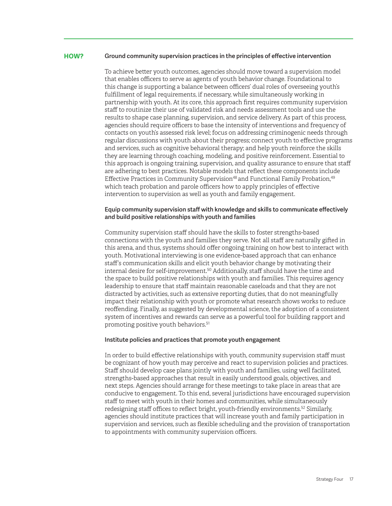#### Ground community supervision practices in the principles of effective intervention **HOW?**

To achieve better youth outcomes, agencies should move toward a supervision model that enables officers to serve as agents of youth behavior change. Foundational to this change is supporting a balance between officers' dual roles of overseeing youth's fulfillment of legal requirements, if necessary, while simultaneously working in partnership with youth. At its core, this approach first requires community supervision staff to routinize their use of validated risk and needs assessment tools and use the results to shape case planning, supervision, and service delivery. As part of this process, agencies should require officers to base the intensity of interventions and frequency of contacts on youth's assessed risk level; focus on addressing criminogenic needs through regular discussions with youth about their progress; connect youth to effective programs and services, such as cognitive behavioral therapy; and help youth reinforce the skills they are learning through coaching, modeling, and positive reinforcement. Essential to this approach is ongoing training, supervision, and quality assurance to ensure that staff are adhering to best practices. Notable models that reflect these components include Effective Practices in Community Supervision<sup>48</sup> and Functional Family Probation,<sup>49</sup> which teach probation and parole officers how to apply principles of effective intervention to supervision as well as youth and family engagement.

#### Equip community supervision staff with knowledge and skills to communicate effectively and build positive relationships with youth and families

Community supervision staff should have the skills to foster strengths-based connections with the youth and families they serve. Not all staff are naturally gifted in this arena, and thus, systems should offer ongoing training on how best to interact with youth. Motivational interviewing is one evidence-based approach that can enhance staff's communication skills and elicit youth behavior change by motivating their internal desire for self-improvement. <sup>50</sup> Additionally, staff should have the time and the space to build positive relationships with youth and families. This requires agency leadership to ensure that staff maintain reasonable caseloads and that they are not distracted by activities, such as extensive reporting duties, that do not meaningfully impact their relationship with youth or promote what research shows works to reduce reoffending. Finally, as suggested by developmental science, the adoption of a consistent system of incentives and rewards can serve as a powerful tool for building rapport and promoting positive youth behaviors.<sup>51</sup>

#### Institute policies and practices that promote youth engagement

In order to build effective relationships with youth, community supervision staff must be cognizant of how youth may perceive and react to supervision policies and practices. Staff should develop case plans jointly with youth and families, using well facilitated, strengths-based approaches that result in easily understood goals, objectives, and next steps. Agencies should arrange for these meetings to take place in areas that are conducive to engagement. To this end, several jurisdictions have encouraged supervision staff to meet with youth in their homes and communities, while simultaneously redesigning staff offices to reflect bright, youth-friendly environments.<sup>52</sup> Similarly, agencies should institute practices that will increase youth and family participation in supervision and services, such as flexible scheduling and the provision of transportation to appointments with community supervision officers.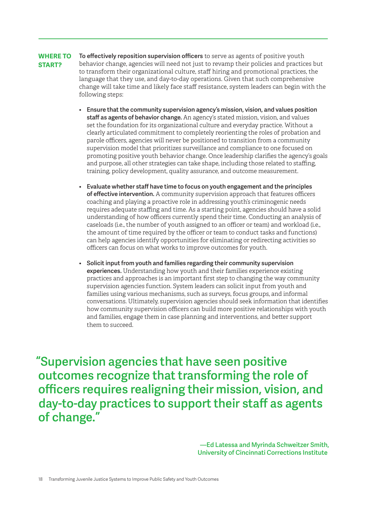To effectively reposition supervision officers to serve as agents of positive youth behavior change, agencies will need not just to revamp their policies and practices but to transform their organizational culture, staff hiring and promotional practices, the language that they use, and day-to-day operations. Given that such comprehensive change will take time and likely face staff resistance, system leaders can begin with the following steps: **WHERE TO START?** 

- Ensure that the community supervision agency's mission, vision, and values position staff as agents of behavior change. An agency's stated mission, vision, and values set the foundation for its organizational culture and everyday practice. Without a clearly articulated commitment to completely reorienting the roles of probation and parole officers, agencies will never be positioned to transition from a community supervision model that prioritizes surveillance and compliance to one focused on promoting positive youth behavior change. Once leadership clarifies the agency's goals and purpose, all other strategies can take shape, including those related to staffing, training, policy development, quality assurance, and outcome measurement.
- Evaluate whether staff have time to focus on youth engagement and the principles of effective intervention. A community supervision approach that features officers coaching and playing a proactive role in addressing youth's criminogenic needs requires adequate staffing and time. As a starting point, agencies should have a solid understanding of how officers currently spend their time. Conducting an analysis of caseloads (i.e., the number of youth assigned to an officer or team) and workload (i.e., the amount of time required by the officer or team to conduct tasks and functions) can help agencies identify opportunities for eliminating or redirecting activities so officers can focus on what works to improve outcomes for youth.
- Solicit input from youth and families regarding their community supervision experiences. Understanding how youth and their families experience existing practices and approaches is an important first step to changing the way community supervision agencies function. System leaders can solicit input from youth and families using various mechanisms, such as surveys, focus groups, and informal conversations. Ultimately, supervision agencies should seek information that identifies how community supervision officers can build more positive relationships with youth and families, engage them in case planning and interventions, and better support them to succeed.

"Supervision agencies that have seen positive outcomes recognize that transforming the role of officers requires realigning their mission, vision, and day-to-day practices to support their staff as agents of change."

> —Ed Latessa and Myrinda Schweitzer Smith, University of Cincinnati Corrections Institute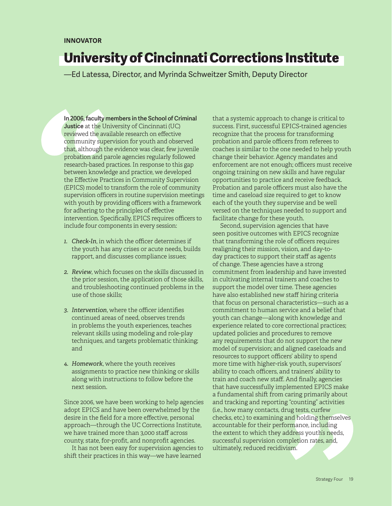### University of Cincinnati Corrections Institute

—Ed Latessa, Director, and Myrinda Schweitzer Smith, Deputy Director

In 2006, faculty members in the School of Criminal Justice at the University of Cincinnati (UC) reviewed the available research on effective community supervision for youth and observed that, although the evidence was clear, few juvenile probation and parole agencies regularly followed research-based practices. In response to this gap between knowledge and practice, we developed the Effective Practices in Community Supervision (EPICS) model to transform the role of community supervision officers in routine supervision meetings with youth by providing officers with a framework for adhering to the principles of effective intervention. Specifically, EPICS requires officers to include four components in every session:

- *1. Check-In*, in which the officer determines if the youth has any crises or acute needs, builds rapport, and discusses compliance issues;
- *2. Review*, which focuses on the skills discussed in the prior session, the application of those skills, and troubleshooting continued problems in the use of those skills;
- *3. Intervention*, where the officer identifies continued areas of need, observes trends in problems the youth experiences, teaches relevant skills using modeling and role-play techniques, and targets problematic thinking; and
- *4. Homework*, where the youth receives assignments to practice new thinking or skills along with instructions to follow before the next session.

Since 2006, we have been working to help agencies adopt EPICS and have been overwhelmed by the desire in the field for a more effective, personal approach—through the UC Corrections Institute, we have trained more than 3,000 staff across county, state, for-profit, and nonprofit agencies.

It has not been easy for supervision agencies to shift their practices in this way—we have learned

that a systemic approach to change is critical to success. First, successful EPICS-trained agencies recognize that the process for transforming probation and parole officers from referees to coaches is similar to the one needed to help youth change their behavior. Agency mandates and enforcement are not enough; officers must receive ongoing training on new skills and have regular opportunities to practice and receive feedback. Probation and parole officers must also have the time and caseload size required to get to know each of the youth they supervise and be well versed on the techniques needed to support and facilitate change for these youth.

Second, supervision agencies that have seen positive outcomes with EPICS recognize that transforming the role of officers requires realigning their mission, vision, and day-today practices to support their staff as agents of change. These agencies have a strong commitment from leadership and have invested in cultivating internal trainers and coaches to support the model over time. These agencies have also established new staff hiring criteria that focus on personal characteristics—such as a commitment to human service and a belief that youth can change—along with knowledge and experience related to core correctional practices; updated policies and procedures to remove any requirements that do not support the new model of supervision; and aligned caseloads and resources to support officers' ability to spend more time with higher-risk youth, supervisors' ability to coach officers, and trainers' ability to train and coach new staff. And finally, agencies that have successfully implemented EPICS make a fundamental shift from caring primarily about and tracking and reporting "counting" activities (i.e., how many contacts, drug tests, curfew checks, etc.) to examining and holding themselves accountable for their performance, including the extent to which they address youth's needs, successful supervision completion rates, and, ultimately, reduced recidivism.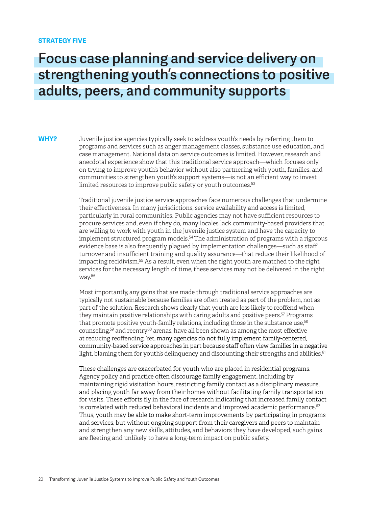#### **STRATEGY FIVE**

### Focus case planning and service delivery on strengthening youth's connections to positive adults, peers, and community supports

**WHY?**

Juvenile justice agencies typically seek to address youth's needs by referring them to programs and services such as anger management classes, substance use education, and case management. National data on service outcomes is limited. However, research and anecdotal experience show that this traditional service approach—which focuses only on trying to improve youth's behavior without also partnering with youth, families, and communities to strengthen youth's support systems—is not an efficient way to invest limited resources to improve public safety or youth outcomes.<sup>53</sup>

Traditional juvenile justice service approaches face numerous challenges that undermine their effectiveness. In many jurisdictions, service availability and access is limited, particularly in rural communities. Public agencies may not have sufficient resources to procure services and, even if they do, many locales lack community-based providers that are willing to work with youth in the juvenile justice system and have the capacity to implement structured program models.<sup>54</sup>The administration of programs with a rigorous evidence base is also frequently plagued by implementation challenges—such as staff turnover and insufficient training and quality assurance—that reduce their likelihood of impacting recidivism.<sup>55</sup> As a result, even when the right youth are matched to the right services for the necessary length of time, these services may not be delivered in the right way.<sup>56</sup>

Most importantly, any gains that are made through traditional service approaches are typically not sustainable because families are often treated as part of the problem, not as part of the solution. Research shows clearly that youth are less likely to reoffend when they maintain positive relationships with caring adults and positive peers.<sup>57</sup> Programs that promote positive youth-family relations, including those in the substance use.<sup>58</sup> counseling,<sup>59</sup> and reentry<sup>60</sup> arenas, have all been shown as among the most effective at reducing reoffending. Yet, many agencies do not fully implement family-centered, community-based service approaches in part because staff often view families in a negative light, blaming them for youth's delinquency and discounting their strengths and abilities. $61$ 

These challenges are exacerbated for youth who are placed in residential programs. Agency policy and practice often discourage family engagement, including by maintaining rigid visitation hours, restricting family contact as a disciplinary measure, and placing youth far away from their homes without facilitating family transportation for visits. These efforts fly in the face of research indicating that increased family contact is correlated with reduced behavioral incidents and improved academic performance. $62$ Thus, youth may be able to make short-term improvements by participating in programs and services, but without ongoing support from their caregivers and peers to maintain and strengthen any new skills, attitudes, and behaviors they have developed, such gains are fleeting and unlikely to have a long-term impact on public safety.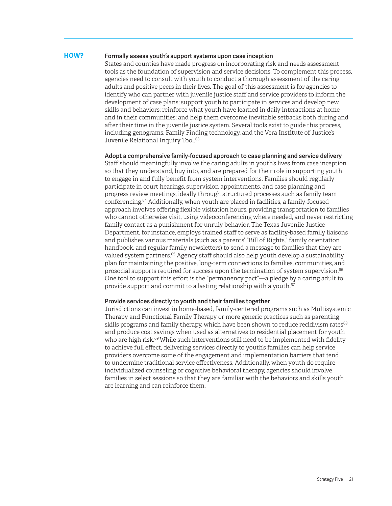#### **HOW?**

#### Formally assess youth's support systems upon case inception

States and counties have made progress on incorporating risk and needs assessment tools as the foundation of supervision and service decisions. To complement this process, agencies need to consult with youth to conduct a thorough assessment of the caring adults and positive peers in their lives. The goal of this assessment is for agencies to identify who can partner with juvenile justice staff and service providers to inform the development of case plans; support youth to participate in services and develop new skills and behaviors; reinforce what youth have learned in daily interactions at home and in their communities; and help them overcome inevitable setbacks both during and after their time in the juvenile justice system. Several tools exist to guide this process, including genograms, Family Finding technology, and the Vera Institute of Justice's Juvenile Relational Inquiry Tool.<sup>63</sup>

#### Adopt a comprehensive family-focused approach to case planning and service delivery

Staff should meaningfully involve the caring adults in youth's lives from case inception so that they understand, buy into, and are prepared for their role in supporting youth to engage in and fully benefit from system interventions. Families should regularly participate in court hearings, supervision appointments, and case planning and progress review meetings, ideally through structured processes such as family team conferencing.<sup>64</sup> Additionally, when youth are placed in facilities, a family-focused approach involves offering flexible visitation hours, providing transportation to families who cannot otherwise visit, using videoconferencing where needed, and never restricting family contact as a punishment for unruly behavior. The Texas Juvenile Justice Department, for instance, employs trained staff to serve as facility-based family liaisons and publishes various materials (such as a parents' "Bill of Rights," family orientation handbook, and regular family newsletters) to send a message to families that they are valued system partners.<sup>65</sup> Agency staff should also help youth develop a sustainability plan for maintaining the positive, long-term connections to families, communities, and prosocial supports required for success upon the termination of system supervision.<sup>66</sup> One tool to support this effort is the "permanency pact"—a pledge by a caring adult to provide support and commit to a lasting relationship with a youth.<sup>67</sup>

#### Provide services directly to youth and their families together

Jurisdictions can invest in home-based, family-centered programs such as Multisystemic Therapy and Functional Family Therapy or more generic practices such as parenting skills programs and family therapy, which have been shown to reduce recidivism rates<sup>68</sup> and produce cost savings when used as alternatives to residential placement for youth who are high risk.<sup>69</sup> While such interventions still need to be implemented with fidelity to achieve full effect, delivering services directly to youth's families can help service providers overcome some of the engagement and implementation barriers that tend to undermine traditional service effectiveness. Additionally, when youth do require individualized counseling or cognitive behavioral therapy, agencies should involve families in select sessions so that they are familiar with the behaviors and skills youth are learning and can reinforce them.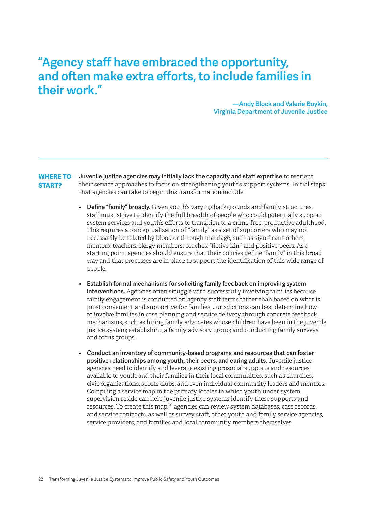### "Agency staff have embraced the opportunity, and often make extra efforts, to include families in their work."

—Andy Block and Valerie Boykin, Virginia Department of Juvenile Justice

Juvenile justice agencies may initially lack the capacity and staff expertise to reorient their service approaches to focus on strengthening youth's support systems. Initial steps that agencies can take to begin this transformation include: **WHERE TO START?**

- Define "family" broadly. Given youth's varying backgrounds and family structures, staff must strive to identify the full breadth of people who could potentially support system services and youth's efforts to transition to a crime-free, productive adulthood. This requires a conceptualization of "family" as a set of supporters who may not necessarily be related by blood or through marriage, such as significant others, mentors, teachers, clergy members, coaches, "fictive kin," and positive peers. As a starting point, agencies should ensure that their policies define "family" in this broad way and that processes are in place to support the identification of this wide range of people.
- Establish formal mechanisms for soliciting family feedback on improving system interventions. Agencies often struggle with successfully involving families because family engagement is conducted on agency staff terms rather than based on what is most convenient and supportive for families. Jurisdictions can best determine how to involve families in case planning and service delivery through concrete feedback mechanisms, such as hiring family advocates whose children have been in the juvenile justice system; establishing a family advisory group; and conducting family surveys and focus groups.
- Conduct an inventory of community-based programs and resources that can foster positive relationships among youth, their peers, and caring adults. Juvenile justice agencies need to identify and leverage existing prosocial supports and resources available to youth and their families in their local communities, such as churches, civic organizations, sports clubs, and even individual community leaders and mentors. Compiling a service map in the primary locales in which youth under system supervision reside can help juvenile justice systems identify these supports and resources. To create this map,<sup>70</sup> agencies can review system databases, case records, and service contracts, as well as survey staff, other youth and family service agencies, service providers, and families and local community members themselves.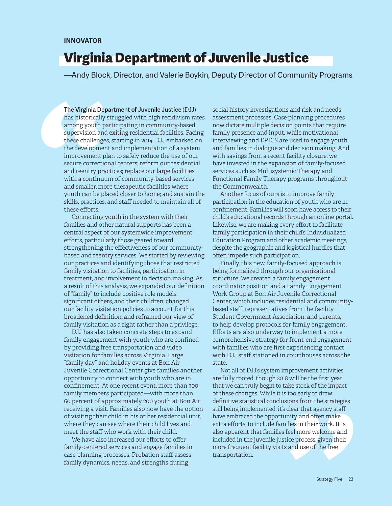### Virginia Department of Juvenile Justice

—Andy Block, Director, and Valerie Boykin, Deputy Director of Community Programs

The Virginia Department of Juvenile Justice (DJJ) has historically struggled with high recidivism rates among youth participating in community-based supervision and exiting residential facilities. Facing these challenges, starting in 2014, DJJ embarked on the development and implementation of a system improvement plan to safely reduce the use of our secure correctional centers; reform our residential and reentry practices; replace our large facilities with a continuum of community-based services and smaller, more therapeutic facilities where youth can be placed closer to home; and sustain the skills, practices, and staff needed to maintain all of these efforts.

Connecting youth in the system with their families and other natural supports has been a central aspect of our systemwide improvement efforts, particularly those geared toward strengthening the effectiveness of our communitybased and reentry services. We started by reviewing our practices and identifying those that restricted family visitation to facilities, participation in treatment, and involvement in decision making. As a result of this analysis, we expanded our definition of "family" to include positive role models, significant others, and their children; changed our facility visitation policies to account for this broadened definition; and reframed our view of family visitation as a right rather than a privilege.

DJJ has also taken concrete steps to expand family engagement with youth who are confined by providing free transportation and video visitation for families across Virginia. Large "family day" and holiday events at Bon Air Juvenile Correctional Center give families another opportunity to connect with youth who are in confinement. At one recent event, more than 300 family members participated—with more than 60 percent of approximately 200 youth at Bon Air receiving a visit. Families also now have the option of visiting their child in his or her residential unit, where they can see where their child lives and meet the staff who work with their child.

We have also increased our efforts to offer family-centered services and engage families in case planning processes. Probation staff assess family dynamics, needs, and strengths during

social history investigations and risk and needs assessment processes. Case planning procedures now dictate multiple decision points that require family presence and input, while motivational interviewing and EPICS are used to engage youth and families in dialogue and decision making. And with savings from a recent facility closure, we have invested in the expansion of family-focused services such as Multisystemic Therapy and Functional Family Therapy programs throughout the Commonwealth.

Another focus of ours is to improve family participation in the education of youth who are in confinement. Families will soon have access to their child's educational records through an online portal. Likewise, we are making every effort to facilitate family participation in their child's Individualized Education Program and other academic meetings, despite the geographic and logistical hurdles that often impede such participation.

Finally, this new, family-focused approach is being formalized through our organizational structure. We created a family engagement coordinator position and a Family Engagement Work Group at Bon Air Juvenile Correctional Center, which includes residential and communitybased staff, representatives from the facility Student Government Association, and parents, to help develop protocols for family engagement. Efforts are also underway to implement a more comprehensive strategy for front-end engagement with families who are first experiencing contact with DJJ staff stationed in courthouses across the state.

Not all of DJJ's system improvement activities are fully rooted, though 2018 will be the first year that we can truly begin to take stock of the impact of these changes. While it is too early to draw definitive statistical conclusions from the strategies still being implemented, it's clear that agency staff have embraced the opportunity, and often make extra efforts, to include families in their work. It is also apparent that families feel more welcome and included in the juvenile justice process, given their more frequent facility visits and use of the free transportation.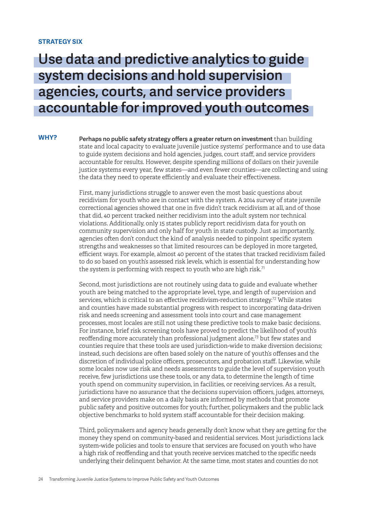#### **STRATEGY SIX**

**WHY?**

### Use data and predictive analytics to guide system decisions and hold supervision agencies, courts, and service providers accountable for improved youth outcomes

Perhaps no public safety strategy offers a greater return on investment than building state and local capacity to evaluate juvenile justice systems' performance and to use data to guide system decisions and hold agencies, judges, court staff, and service providers accountable for results. However, despite spending millions of dollars on their juvenile justice systems every year, few states—and even fewer counties—are collecting and using the data they need to operate efficiently and evaluate their effectiveness.

First, many jurisdictions struggle to answer even the most basic questions about recidivism for youth who are in contact with the system. A 2014 survey of state juvenile correctional agencies showed that one in five didn't track recidivism at all, and of those that did, 40 percent tracked neither recidivism into the adult system nor technical violations. Additionally, only 15 states publicly report recidivism data for youth on community supervision and only half for youth in state custody. Just as importantly, agencies often don't conduct the kind of analysis needed to pinpoint specific system strengths and weaknesses so that limited resources can be deployed in more targeted, efficient ways. For example, almost 40 percent of the states that tracked recidivism failed to do so based on youth's assessed risk levels, which is essential for understanding how the system is performing with respect to youth who are high risk.<sup>71</sup>

Second, most jurisdictions are not routinely using data to guide and evaluate whether youth are being matched to the appropriate level, type, and length of supervision and services, which is critical to an effective recidivism-reduction strategy.<sup>72</sup> While states and counties have made substantial progress with respect to incorporating data-driven risk and needs screening and assessment tools into court and case management processes, most locales are still not using these predictive tools to make basic decisions. For instance, brief risk screening tools have proved to predict the likelihood of youth's reoffending more accurately than professional judgment alone,<sup>73</sup> but few states and counties require that these tools are used jurisdiction-wide to make diversion decisions; instead, such decisions are often based solely on the nature of youth's offenses and the discretion of individual police officers, prosecutors, and probation staff. Likewise, while some locales now use risk and needs assessments to guide the level of supervision youth receive, few jurisdictions use these tools, or any data, to determine the length of time youth spend on community supervision, in facilities, or receiving services. As a result, jurisdictions have no assurance that the decisions supervision officers, judges, attorneys, and service providers make on a daily basis are informed by methods that promote public safety and positive outcomes for youth; further, policymakers and the public lack objective benchmarks to hold system staff accountable for their decision making.

Third, policymakers and agency heads generally don't know what they are getting for the money they spend on community-based and residential services. Most jurisdictions lack system-wide policies and tools to ensure that services are focused on youth who have a high risk of reoffending and that youth receive services matched to the specific needs underlying their delinquent behavior. At the same time, most states and counties do not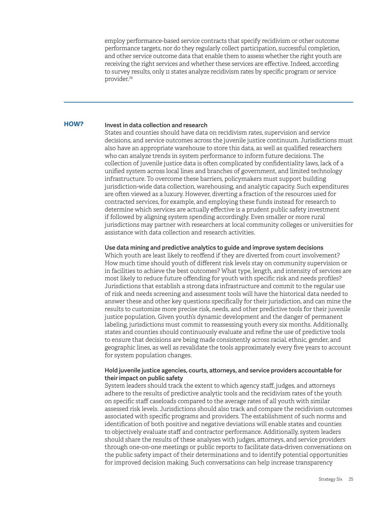employ performance-based service contracts that specify recidivism or other outcome performance targets, nor do they regularly collect participation, successful completion, and other service outcome data that enable them to assess whether the right youth are receiving the right services and whether these services are effective. Indeed, according to survey results, only 11 states analyze recidivism rates by specific program or service provider.<sup>74</sup>

#### Invest in data collection and research **HOW?**

States and counties should have data on recidivism rates, supervision and service decisions, and service outcomes across the juvenile justice continuum. Jurisdictions must also have an appropriate warehouse to store this data, as well as qualified researchers who can analyze trends in system performance to inform future decisions. The collection of juvenile justice data is often complicated by confidentiality laws, lack of a unified system across local lines and branches of government, and limited technology infrastructure. To overcome these barriers, policymakers must support building jurisdiction-wide data collection, warehousing, and analytic capacity. Such expenditures are often viewed as a luxury. However, diverting a fraction of the resources used for contracted services, for example, and employing these funds instead for research to determine which services are actually effective is a prudent public safety investment if followed by aligning system spending accordingly. Even smaller or more rural jurisdictions may partner with researchers at local community colleges or universities for assistance with data collection and research activities.

#### Use data mining and predictive analytics to guide and improve system decisions

Which youth are least likely to reoffend if they are diverted from court involvement? How much time should youth of different risk levels stay on community supervision or in facilities to achieve the best outcomes? What type, length, and intensity of services are most likely to reduce future offending for youth with specific risk and needs profiles? Jurisdictions that establish a strong data infrastructure and commit to the regular use of risk and needs screening and assessment tools will have the historical data needed to answer these and other key questions specifically for their jurisdiction, and can mine the results to customize more precise risk, needs, and other predictive tools for their juvenile justice population. Given youth's dynamic development and the danger of permanent labeling, jurisdictions must commit to reassessing youth every six months. Additionally, states and counties should continuously evaluate and refine the use of predictive tools to ensure that decisions are being made consistently across racial, ethnic, gender, and geographic lines, as well as revalidate the tools approximately every five years to account for system population changes.

#### Hold juvenile justice agencies, courts, attorneys, and service providers accountable for their impact on public safety

System leaders should track the extent to which agency staff, judges, and attorneys adhere to the results of predictive analytic tools and the recidivism rates of the youth on specific staff caseloads compared to the average rates of all youth with similar assessed risk levels. Jurisdictions should also track and compare the recidivism outcomes associated with specific programs and providers. The establishment of such norms and identification of both positive and negative deviations will enable states and counties to objectively evaluate staff and contractor performance. Additionally, system leaders should share the results of these analyses with judges, attorneys, and service providers through one-on-one meetings or public reports to facilitate data-driven conversations on the public safety impact of their determinations and to identify potential opportunities for improved decision making. Such conversations can help increase transparency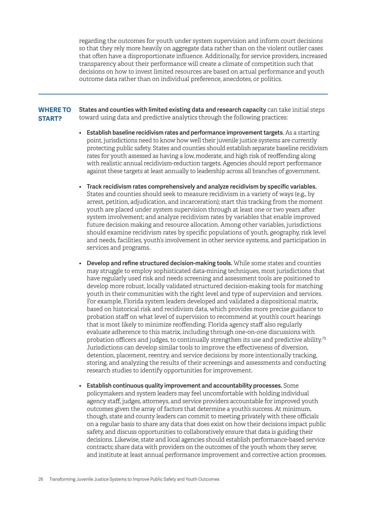regarding the outcomes for youth under system supervision and inform court decisions so that they rely more heavily on aggregate data rather than on the violent outlier cases that often have a disproportionate influence. Additionally, for service providers, increased transparency about their performance will create a climate of competition such that decisions on how to invest limited resources are based on actual performance and youth outcome data rather than on individual preference, anecdotes, or politics.

- States and counties with limited existing data and research capacity can take initial steps toward using data and predictive analytics through the following practices: **WHERE TO START?**
	- Establish baseline recidivism rates and performance improvement targets*.* As a starting point, jurisdictions need to know how well their juvenile justice systems are currently protecting public safety. States and counties should establish separate baseline recidivism rates for youth assessed as having a low, moderate, and high risk of reoffending along with realistic annual recidivism-reduction targets. Agencies should report performance against these targets at least annually to leadership across all branches of government.
	- Track recidivism rates comprehensively and analyze recidivism by specific variables. States and counties should seek to measure recidivism in a variety of ways (e.g., by arrest, petition, adjudication, and incarceration); start this tracking from the moment youth are placed under system supervision through at least one or two years after system involvement; and analyze recidivism rates by variables that enable improved future decision making and resource allocation. Among other variables, jurisdictions should examine recidivism rates by specific populations of youth, geography, risk level and needs, facilities, youth's involvement in other service systems, and participation in services and programs.
	- Develop and refine structured decision-making tools. While some states and counties may struggle to employ sophisticated data-mining techniques, most jurisdictions that have regularly used risk and needs screening and assessment tools are positioned to develop more robust, locally validated structured decision-making tools for matching youth in their communities with the right level and type of supervision and services. For example, Florida system leaders developed and validated a dispositional matrix, based on historical risk and recidivism data, which provides more precise guidance to probation staff on what level of supervision to recommend at youth's court hearings that is most likely to minimize reoffending. Florida agency staff also regularly evaluate adherence to this matrix, including through one-on-one discussions with probation officers and judges, to continually strengthen its use and predictive ability.<sup>75</sup> Jurisdictions can develop similar tools to improve the effectiveness of diversion, detention, placement, reentry, and service decisions by more intentionally tracking, storing, and analyzing the results of their screenings and assessments and conducting research studies to identify opportunities for improvement.
	- Establish continuous quality improvement and accountability processes. Some policymakers and system leaders may feel uncomfortable with holding individual agency staff, judges, attorneys, and service providers accountable for improved youth outcomes given the array of factors that determine a youth's success. At minimum, though, state and county leaders can commit to meeting privately with these officials on a regular basis to share any data that does exist on how their decisions impact public safety, and discuss opportunities to collaboratively ensure that data is guiding their decisions. Likewise, state and local agencies should establish performance-based service contracts; share data with providers on the outcomes of the youth whom they serve; and institute at least annual performance improvement and corrective action processes.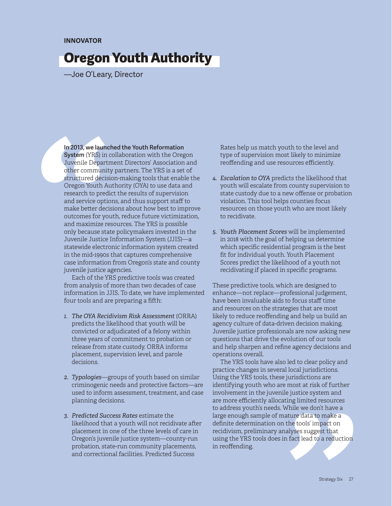#### **INNOVATOR**

### Oregon Youth Authority

—Joe O'Leary, Director

In 2013, we launched the Youth Reformation System (YRS) in collaboration with the Oregon Juvenile Department Directors' Association and other community partners. The YRS is a set of structured decision-making tools that enable the Oregon Youth Authority (OYA) to use data and research to predict the results of supervision and service options, and thus support staff to make better decisions about how best to improve outcomes for youth, reduce future victimization, and maximize resources. The YRS is possible only because state policymakers invested in the Juvenile Justice Information System (JJIS)—a statewide electronic information system created in the mid-1990s that captures comprehensive case information from Oregon's state and county juvenile justice agencies.

Each of the YRS predictive tools was created from analysis of more than two decades of case information in JJIS. To date, we have implemented four tools and are preparing a fifth:

- *1. The OYA Recidivism Risk Assessment* (ORRA) predicts the likelihood that youth will be convicted or adjudicated of a felony within three years of commitment to probation or release from state custody. ORRA informs placement, supervision level, and parole decisions.
- *2. Typologies*—groups of youth based on similar criminogenic needs and protective factors—are used to inform assessment, treatment, and case planning decisions.
- *3. Predicted Success Rates* estimate the likelihood that a youth will not recidivate after placement in one of the three levels of care in Oregon's juvenile justice system—county-run probation, state-run community placements, and correctional facilities. Predicted Success

Rates help us match youth to the level and type of supervision most likely to minimize reoffending and use resources efficiently.

- *4. Escalation to OYA* predicts the likelihood that youth will escalate from county supervision to state custody due to a new offense or probation violation. This tool helps counties focus resources on those youth who are most likely to recidivate.
- *5. Youth Placement Scores* will be implemented in 2018 with the goal of helping us determine which specific residential program is the best fit for individual youth. Youth Placement Scores predict the likelihood of a youth not recidivating if placed in specific programs.

These predictive tools, which are designed to enhance—not replace—professional judgement, have been invaluable aids to focus staff time and resources on the strategies that are most likely to reduce reoffending and help us build an agency culture of data-driven decision making. Juvenile justice professionals are now asking new questions that drive the evolution of our tools and help sharpen and refine agency decisions and operations overall.

The YRS tools have also led to clear policy and practice changes in several local jurisdictions. Using the YRS tools, these jurisdictions are identifying youth who are most at risk of further involvement in the juvenile justice system and are more efficiently allocating limited resources to address youth's needs. While we don't have a large enough sample of mature data to make a definite determination on the tools' impact on recidivism, preliminary analyses suggest that using the YRS tools does in fact lead to a reduction in reoffending.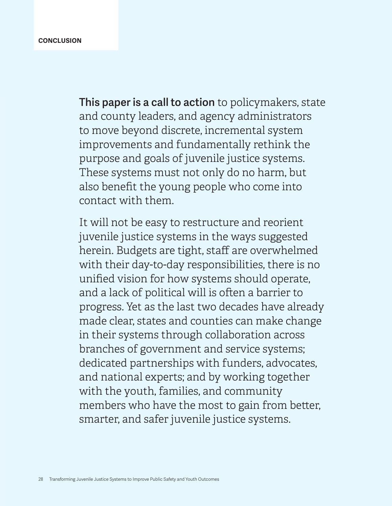This paper is a call to action to policymakers, state and county leaders, and agency administrators to move beyond discrete, incremental system improvements and fundamentally rethink the purpose and goals of juvenile justice systems. These systems must not only do no harm, but also benefit the young people who come into contact with them.

It will not be easy to restructure and reorient juvenile justice systems in the ways suggested herein. Budgets are tight, staff are overwhelmed with their day-to-day responsibilities, there is no unified vision for how systems should operate, and a lack of political will is often a barrier to progress. Yet as the last two decades have already made clear, states and counties can make change in their systems through collaboration across branches of government and service systems; dedicated partnerships with funders, advocates, and national experts; and by working together with the youth, families, and community members who have the most to gain from better, smarter, and safer juvenile justice systems.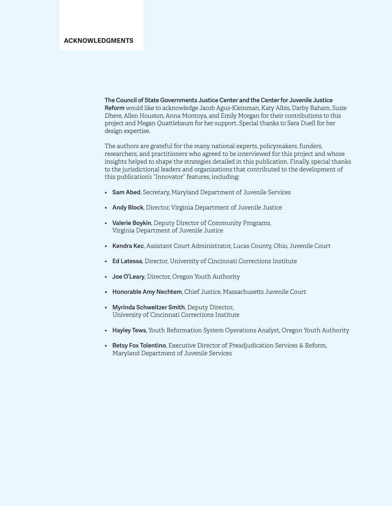The Council of State Governments Justice Center and the Center for Juvenile Justice Reform would like to acknowledge Jacob Agus-Kleinman, Katy Albis, Darby Baham, Suzie Dhere, Allen Houston, Anna Montoya, and Emily Morgan for their contributions to this project and Megan Quattlebaum for her support. Special thanks to Sara Duell for her design expertise.

The authors are grateful for the many national experts, policymakers, funders, researchers, and practitioners who agreed to be interviewed for this project and whose insights helped to shape the strategies detailed in this publication. Finally, special thanks to the jurisdictional leaders and organizations that contributed to the development of this publication's "Innovator" features, including:

- Sam Abed, Secretary, Maryland Department of Juvenile Services
- Andy Block, Director, Virginia Department of Juvenile Justice
- Valerie Boykin, Deputy Director of Community Programs, Virginia Department of Juvenile Justice
- Kendra Kec, Assistant Court Administrator, Lucas County, Ohio, Juvenile Court
- Ed Latessa, Director, University of Cincinnati Corrections Institute
- Joe O'Leary, Director, Oregon Youth Authority
- Honorable Amy Nechtem, Chief Justice, Massachusetts Juvenile Court
- Myrinda Schweitzer Smith, Deputy Director, University of Cincinnati Corrections Institute
- Hayley Tews, Youth Reformation System Operations Analyst, Oregon Youth Authority
- Betsy Fox Tolentino, Executive Director of Preadjudication Services & Reform, Maryland Department of Juvenile Services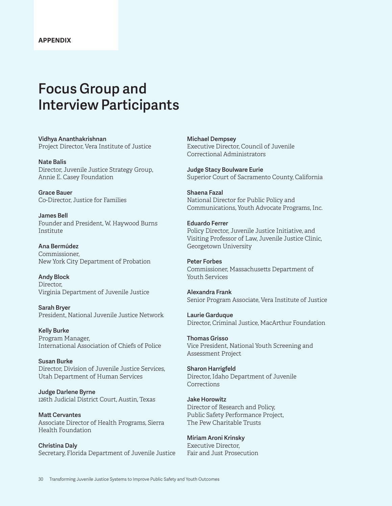### Focus Group and Interview Participants

Vidhya Ananthakrishnan Project Director, Vera Institute of Justice

Nate Balis Director, Juvenile Justice Strategy Group, Annie E. Casey Foundation

Grace Bauer Co-Director, Justice for Families

James Bell Founder and President, W. Haywood Burns Institute

Ana Bermúdez Commissioner, New York City Department of Probation

Andy Block Director, Virginia Department of Juvenile Justice

Sarah Bryer President, National Juvenile Justice Network

Kelly Burke Program Manager, International Association of Chiefs of Police

Susan Burke Director, Division of Juvenile Justice Services, Utah Department of Human Services

Judge Darlene Byrne 126th Judicial District Court, Austin, Texas

Matt Cervantes Associate Director of Health Programs, Sierra Health Foundation

Christina Daly Secretary, Florida Department of Juvenile Justice Michael Dempsey Executive Director, Council of Juvenile Correctional Administrators

Judge Stacy Boulware Eurie Superior Court of Sacramento County, California

Shaena Fazal National Director for Public Policy and Communications, Youth Advocate Programs, Inc.

Eduardo Ferrer Policy Director, Juvenile Justice Initiative, and Visiting Professor of Law, Juvenile Justice Clinic, Georgetown University

Peter Forbes Commissioner, Massachusetts Department of Youth Services

Alexandra Frank Senior Program Associate, Vera Institute of Justice

Laurie Garduque Director, Criminal Justice, MacArthur Foundation

Thomas Grisso Vice President, National Youth Screening and Assessment Project

Sharon Harrigfeld Director, Idaho Department of Juvenile **Corrections** 

Jake Horowitz Director of Research and Policy, Public Safety Performance Project, The Pew Charitable Trusts

Miriam Aroni Krinsky Executive Director, Fair and Just Prosecution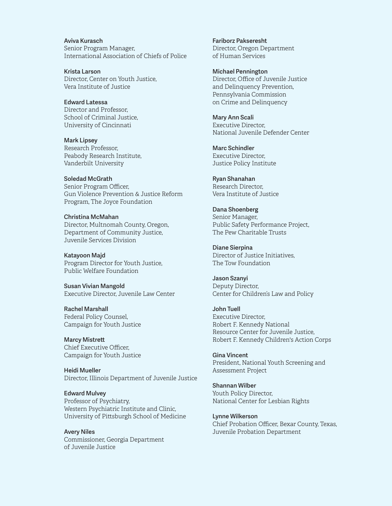Aviva Kurasch Senior Program Manager, International Association of Chiefs of Police

Krista Larson Director, Center on Youth Justice, Vera Institute of Justice

Edward Latessa Director and Professor, School of Criminal Justice, University of Cincinnati

Mark Lipsey Research Professor, Peabody Research Institute, Vanderbilt University

Soledad McGrath Senior Program Officer, Gun Violence Prevention & Justice Reform Program, The Joyce Foundation

Christina McMahan Director, Multnomah County, Oregon, Department of Community Justice, Juvenile Services Division

Katayoon Majd Program Director for Youth Justice, Public Welfare Foundation

Susan Vivian Mangold Executive Director, Juvenile Law Center

Rachel Marshall Federal Policy Counsel, Campaign for Youth Justice

Marcy Mistrett Chief Executive Officer, Campaign for Youth Justice

Heidi Mueller Director, Illinois Department of Juvenile Justice

Edward Mulvey Professor of Psychiatry, Western Psychiatric Institute and Clinic, University of Pittsburgh School of Medicine

Avery Niles Commissioner, Georgia Department of Juvenile Justice

Fariborz Pakseresht Director, Oregon Department of Human Services

Michael Pennington Director, Office of Juvenile Justice and Delinquency Prevention, Pennsylvania Commission on Crime and Delinquency

Mary Ann Scali Executive Director, National Juvenile Defender Center

Marc Schindler Executive Director, Justice Policy Institute

Ryan Shanahan Research Director, Vera Institute of Justice

Dana Shoenberg Senior Manager, Public Safety Performance Project, The Pew Charitable Trusts

Diane Sierpina Director of Justice Initiatives, The Tow Foundation

Jason Szanyi Deputy Director, Center for Children's Law and Policy

John Tuell Executive Director, Robert F. Kennedy National Resource Center for Juvenile Justice, Robert F. Kennedy Children's Action Corps

Gina Vincent President, National Youth Screening and Assessment Project

Shannan Wilber Youth Policy Director, National Center for Lesbian Rights

Lynne Wilkerson Chief Probation Officer, Bexar County, Texas, Juvenile Probation Department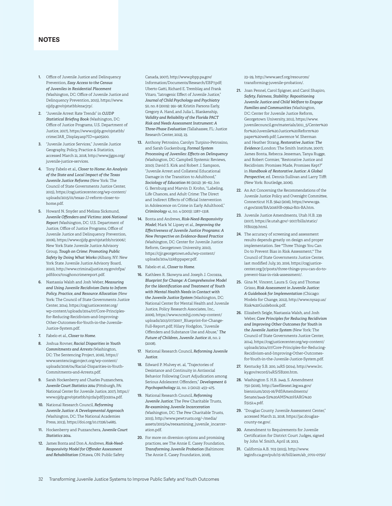- 1. Office of Juvenile Justice and Delinquency Prevention, *Easy Access to the Census of Juveniles in Residential Placement* (Washington, DC: Office of Juvenile Justice and Delinquency Prevention, 2015), https://www. ojjdp.gov/ojstatbb/ezacjrp/.
- 2. "Juvenile Arrest Rate Trends" in *OJJDP Statistical Briefing Book* (Washington, DC: Office of Justice Programs, U.S. Department of Justice, 2017), https://www.ojjdp.gov/ojstatbb/ crime/JAR\_Display.asp?ID=qa05200.
- 3. "Juvenile Justice Services," Juvenile Justice Geography, Policy, Practice & Statistics, accessed March 21, 2018, http://www.jjgps.org/ juvenile-justice-services.
- 4. Tony Fabelo et al., *Closer to Home: An Analysis of the State and Local Impact of the Texas Juvenile Justice Reforms* (New York: The Council of State Governments Justice Center, 2015), https://csgjusticecenter.org/wp-content/ uploads/2015/01/texas-JJ-reform-closer-tohome.pdf.
- 5. Howard N. Snyder and Melissa Sickmund, *Juvenile Offenders and Victims: 2006 National Report* (Washington, DC: U.S. Department of Justice, Office of Justice Programs, Office of Juvenile Justice and Delinquency Prevention, 2006), https://www.ojjdp.gov/ojstatbb/nr2006/; New York State Juvenile Justice Advisory Group, *Tough on Crime: Promoting Public Safety by Doing What Works* (Albany, NY: New York State Juvenile Justice Advisory Board, 2010), http://www.criminaljustice.ny.gov/ofpa/ pdfdocs/toughoncrimereport.pdf.
- 6. Nastassia Walsh and Josh Weber, *Measuring and Using Juvenile Recidivism Data to Inform Policy, Practice, and Resource Allocation* (New York: The Council of State Governments Justice Center, 2014), https://csgjusticecenter.org/ wp-content/uploads/2014/07/Core-Principlesfor-Reducing-Recidivism-and-Improving-Other-Outcomes-for-Youth-in-the-Juvenile-Justice-System.pdf.
- 7. Fabelo et al., *Closer to Home*.
- 8. Joshua Rovner, *Racial Disparities in Youth Commitments and Arrests* (Washington, DC: The Sentencing Project, 2016), https:// www.sentencingproject.org/wp-content/ uploads/2016/04/Racial-Disparities-in-Youth-Commitments-and-Arrests.pdf.
- 9. Sarah Hockenberry and Charles Puzzanchera, *Juvenile Court Statistics 2014* (Pittsburgh, PA: National Center for Juvenile Justice, 2017), https:// www.ojjdp.gov/ojstatbb/njcda/pdf/jcs2014.pdf.
- 10. National Research Council, *Reforming Juvenile Justice: A Developmental Approach* (Washington, DC: The National Academies Press, 2013), https://doi.org/10.17226/14685.
- 11. Hockenberry and Puzzanchera, *Juvenile Court Statistics 2014*.
- 12. James Bonta and Don A. Andrews, *Risk-Need-Responsivity Model for Offender Assessment and Rehabilitation* (Ottawa, ON: Public Safety

Canada, 2007), http://www.pbpp.pa.gov/ Information/Documents/Research/EBP7.pdf; Uberto Gatti, Richard E. Tremblay, and Frank Vitaro, "Iatrogenic Effect of Juvenile Justice," *Journal of Child Psychology and Psychiatry* 50, no. 8 (2009): 991–98; Kristin Parsons Early, Gregory A. Hand, and Julia L. Blankenship, *Validity and Reliability of the Florida PACT Risk and Needs Assessment Instrument: A Three-Phase Evaluation* (Tallahassee, FL: Justice Research Center, 2012), 23.

- 13. Anthony Petrosino, Carolyn Turpino-Petrosino, and Sarah Guckenburg, *Formal System Processing of Juveniles: Effects on Delinquency*  (Washington, DC: Campbell Systemic Reviews, 2010); David S. Kirk and Robert J. Sampson, "Juvenile Arrest and Collateral Educational Damage in the Transition to Adulthood," *Sociology of Education* 86 (2012): 36–62; Jon G. Bernburg and Marvin D. Krohn, "Labeling, Life Chances, and Adult Crime: The Direct and Indirect Effects of Official Intervention in Adolescence on Crime in Early Adulthood," *Criminology* 41, no. 4 (2003): 1287–1318.
- 14. Bonta and Andrews, *Risk-Need-Responsivity Model*; Mark W. Lipsey et al., *Improving the Effectiveness of Juvenile Justice Programs: A New Perspective on Evidence-Based Practice* (Washington, DC: Center for Juvenile Justice Reform, Georgetown University, 2010), https://cjjr.georgetown.edu/wp-content/ uploads/2014/12/ebppaper.pdf.
- 15. Fabelo et al., *Closer to Home*.
- 16. Kathleen R. Skowyra and Joseph J. Cocozza, *Blueprint for Change: A Comprehensive Model for the Identification and Treatment of Youth with Mental Health Needs in Contact with the Juvenile Justice System* (Washington, DC: National Center for Mental Health and Juvenile Justice, Policy Research Associates, Inc., 2006), https://www.ncmhjj.com/wp-content/ uploads/2013/07/2007\_Blueprint-for-Change-Full-Report.pdf; Hilary Hodgdon, "Juvenile Offenders and Substance Use and Abuse," *The Future of Children, Juvenile Justice* 18, no. 2 (2008).
- 17. National Research Council, *Reforming Juvenile Justice*.
- 18. Edward P. Mulvey et. al, "Trajectories of Desistance and Continuity in Antisocial Behavior Following Court Adjudication among Serious Adolescent Offenders," *Development & Psychopathology* 22, no. 2 (2012): 453–475.
- 19. National Research Council, *Reforming Juvenile Justice*; The Pew Charitable Trusts, *Re-examining Juvenile Incarceration* (Washington, DC: The Pew Charitable Trusts, 2015), http://www.pewtrusts.org/~/media/ assets/2015/04/reexamining\_juvenile\_incarceration.pdf.
- 20. For more on diversion options and promising practices, see The Annie E. Casey Foundation, *Transforming Juvenile Probation* (Baltimore: The Annie E. Casey Foundation, 2018),

23–29, http://www.aecf.org/resources/ transforming-juvenile-probation/.

- 21. Joan Pennel, Carol Spigner, and Carol Shapiro, *Safety, Fairness, Stability: Repositioning Juvenile Justice and Child Welfare to Engage Families and Communities* (Washington, DC: Center for Juvenile Justice Reform, Georgetown University, 2011), https://www. juvenilecouncil.gov/materials/2011\_5/Center%20 for%20Juvenile%20Justice%20Reform%20 paper%20web.pdf; Lawrence W. Sherman and Heather Strang, *Restorative Justice: The Evidence* (London: The Smith Institute, 2007); James Bonta, Rebecca Jesseman, Tanya Rugge, and Robert Cormier, "Restorative Justice and Recidivism: Promises Made, Promises Kept?" in *Handbook of Restorative Justice: A Global Perspective*, ed. Dennis Sullivan and Larry Tifft (New York: Routledge, 2006).
- 22. An Act Concerning the Recommendations of the Juvenile Justice Policy and Oversight Committee, Connecticut H.B. 5642 (2016), https://www.cga. ct.gov/2016/BA/2016HB-05642-R01-BA.htm.
- 23. Juvenile Justice Amendments, Utah H.B. 239 (2017), https://le.utah.gov/~2017/bills/static/ HB0239.html.
- 24. The accuracy of screening and assessment results depends greatly on design and proper implementation. See "Three Things You Can Do to Prevent Bias in Risk Assessment," The Council of State Governments Justice Center, last modified July, 20, 2016, https://csgjusticecenter.org/jr/posts/three-things-you-can-do-toprevent-bias-in-risk-assessment/.
- 25. Gina M. Vincent, Laura S. Guy, and Thomas Grisso, *Risk Assessment in Juvenile Justice: A Guidebook for Implementation* (Chicago: Models for Change, 2012), http://www.nysap.us/ Risk%20Guidebook.pdf.
- 26. Elizabeth Seigle, Nastassia Walsh, and Josh Weber, *Core Principles for Reducing Recidivism and Improving Other Outcomes for Youth in the Juvenile Justice System* (New York: The Council of State Governments Justice Center, 2014), https://csgjusticecenter.org/wp-content/ uploads/2014/07/Core-Principles-for-Reducing-Recidivism-and-Improving-Other-Outcomesfor-Youth-in-the-Juvenile-Justice-System.pdf.
- 27. Kentucky S.B. 200, 14RS (2014), http://www.lrc. ky.gov/record/14RS/SB200.htm.
- 28. Washington S. H.B. 2449, S. Amendment 750 (2016), http://lawfilesext.leg.wa.gov/ biennium/2015-16/Pdf/Amendments/ Senate/2449-S2%20AMS%20HARG%20 S5152.4.pdf.
- 29. "Douglas County Juvenile Assessment Center," accessed March 21, 2018, https://jac.douglascounty-ne.gov/.
- 30. Amendment to Requirements for Juvenile Certification for District Court Judges, signed by John W. Smith, April 18, 2013.
- 31. California A.B. 703 (2015), http://www. leginfo.ca.gov/pub/15-16/bill/asm/ab\_0701-0750/